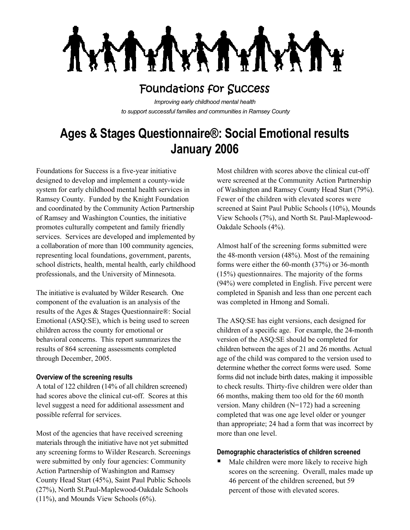

## Foundations for Success

*Improving early childhood mental health to support successful families and communities in Ramsey County*

# **Ages & Stages Questionnaire®: Social Emotional results January 2006**

Foundations for Success is a five-year initiative designed to develop and implement a county-wide system for early childhood mental health services in Ramsey County. Funded by the Knight Foundation and coordinated by the Community Action Partnership of Ramsey and Washington Counties, the initiative promotes culturally competent and family friendly services. Services are developed and implemented by a collaboration of more than 100 community agencies, representing local foundations, government, parents, school districts, health, mental health, early childhood professionals, and the University of Minnesota.

The initiative is evaluated by Wilder Research. One component of the evaluation is an analysis of the results of the Ages & Stages Questionnaire®: Social Emotional (ASQ:SE), which is being used to screen children across the county for emotional or behavioral concerns. This report summarizes the results of 864 screening assessments completed through December, 2005.

#### **Overview of the screening results**

A total of 122 children (14% of all children screened) had scores above the clinical cut-off. Scores at this level suggest a need for additional assessment and possible referral for services.

Most of the agencies that have received screening materials through the initiative have not yet submitted any screening forms to Wilder Research. Screenings were submitted by only four agencies: Community Action Partnership of Washington and Ramsey County Head Start (45%), Saint Paul Public Schools (27%), North St.Paul-Maplewood-Oakdale Schools (11%), and Mounds View Schools (6%).

Most children with scores above the clinical cut-off were screened at the Community Action Partnership of Washington and Ramsey County Head Start (79%). Fewer of the children with elevated scores were screened at Saint Paul Public Schools (10%), Mounds View Schools (7%), and North St. Paul-Maplewood-Oakdale Schools (4%).

Almost half of the screening forms submitted were the 48-month version (48%). Most of the remaining forms were either the 60-month (37%) or 36-month (15%) questionnaires. The majority of the forms (94%) were completed in English. Five percent were completed in Spanish and less than one percent each was completed in Hmong and Somali.

The ASQ:SE has eight versions, each designed for children of a specific age. For example, the 24-month version of the ASQ:SE should be completed for children between the ages of 21 and 26 months. Actual age of the child was compared to the version used to determine whether the correct forms were used. Some forms did not include birth dates, making it impossible to check results. Thirty-five children were older than 66 months, making them too old for the 60 month version. Many children (N=172) had a screening completed that was one age level older or younger than appropriate; 24 had a form that was incorrect by more than one level.

#### **Demographic characteristics of children screened**

■ Male children were more likely to receive high scores on the screening. Overall, males made up 46 percent of the children screened, but 59 percent of those with elevated scores.